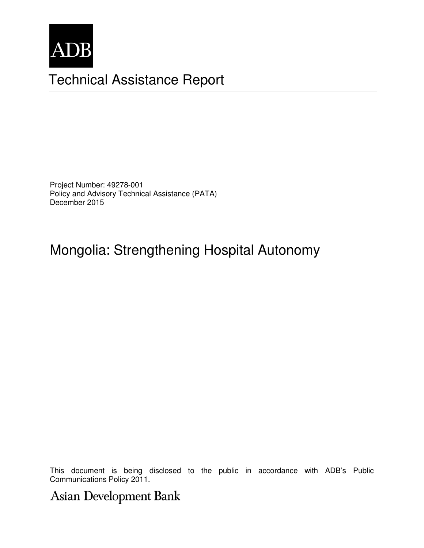

# Technical Assistance Report

Project Number: 49278-001 Policy and Advisory Technical Assistance (PATA) December 2015

## Mongolia: Strengthening Hospital Autonomy

This document is being disclosed to the public in accordance with ADB's Public Communications Policy 2011.

Asian Development Bank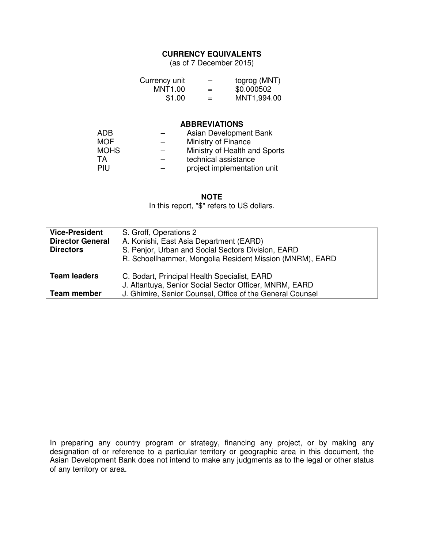#### **CURRENCY EQUIVALENTS**

(as of 7 December 2015)

| Currency unit |     | togrog (MNT) |
|---------------|-----|--------------|
| MNT1.00       | $=$ | \$0.000502   |
| \$1.00        | $=$ | MNT1,994.00  |

#### **ABBREVIATIONS**

| ADB.        | Asian Development Bank        |
|-------------|-------------------------------|
| <b>MOF</b>  | Ministry of Finance           |
| <b>MOHS</b> | Ministry of Health and Sports |
| TA          | technical assistance          |
| PIU         | project implementation unit   |

**NOTE**

In this report, "\$" refers to US dollars.

| <b>Vice-President</b>                                                  | S. Groff, Operations 2                                    |
|------------------------------------------------------------------------|-----------------------------------------------------------|
| <b>Director General</b>                                                | A. Konishi, East Asia Department (EARD)                   |
| S. Penjor, Urban and Social Sectors Division, EARD<br><b>Directors</b> |                                                           |
|                                                                        | R. Schoellhammer, Mongolia Resident Mission (MNRM), EARD  |
|                                                                        |                                                           |
| <b>Team leaders</b><br>C. Bodart, Principal Health Specialist, EARD    |                                                           |
|                                                                        | J. Altantuya, Senior Social Sector Officer, MNRM, EARD    |
| Team member                                                            | J. Ghimire, Senior Counsel, Office of the General Counsel |

In preparing any country program or strategy, financing any project, or by making any designation of or reference to a particular territory or geographic area in this document, the Asian Development Bank does not intend to make any judgments as to the legal or other status of any territory or area.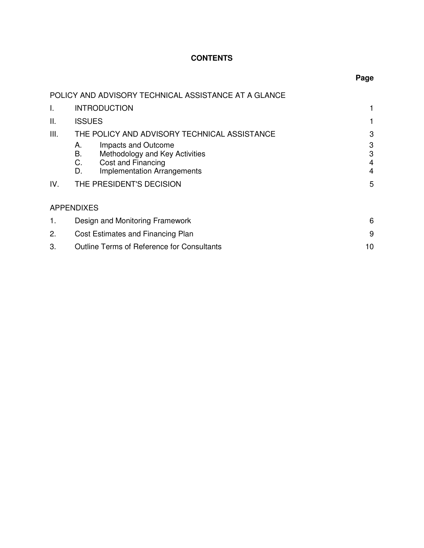## **CONTENTS**

| ۰,<br>۰.<br>w<br>۰. |
|---------------------|
|---------------------|

|             | POLICY AND ADVISORY TECHNICAL ASSISTANCE AT A GLANCE                                                                                                                                                                  |                            |  |
|-------------|-----------------------------------------------------------------------------------------------------------------------------------------------------------------------------------------------------------------------|----------------------------|--|
| I.          | <b>INTRODUCTION</b>                                                                                                                                                                                                   |                            |  |
| Ш.          | <b>ISSUES</b>                                                                                                                                                                                                         |                            |  |
| III.<br>IV. | THE POLICY AND ADVISORY TECHNICAL ASSISTANCE<br>Impacts and Outcome<br>А.<br>В.<br>Methodology and Key Activities<br>C.<br>Cost and Financing<br>D.<br><b>Implementation Arrangements</b><br>THE PRESIDENT'S DECISION | 3<br>3<br>3<br>4<br>4<br>5 |  |
|             |                                                                                                                                                                                                                       |                            |  |
|             | <b>APPENDIXES</b>                                                                                                                                                                                                     |                            |  |
| 1.          | Design and Monitoring Framework                                                                                                                                                                                       |                            |  |
| 2.          | Cost Estimates and Financing Plan                                                                                                                                                                                     |                            |  |
| 3.          | <b>Outline Terms of Reference for Consultants</b><br>10                                                                                                                                                               |                            |  |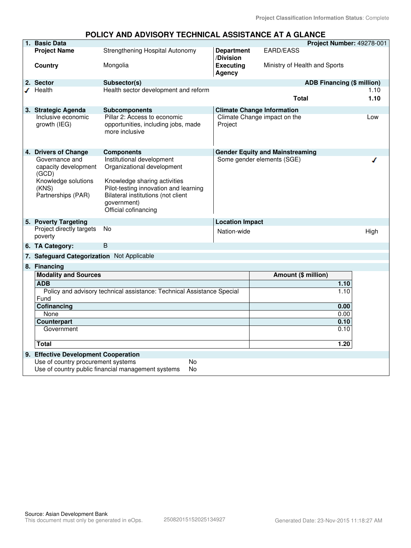#### **POLICY AND ADVISORY TECHNICAL ASSISTANCE AT A GLANCE**

| 1. Basic Data                                                                                         |                                                                                                                                                                                                               |                                |                                        | Project Number: 49278-001         |      |
|-------------------------------------------------------------------------------------------------------|---------------------------------------------------------------------------------------------------------------------------------------------------------------------------------------------------------------|--------------------------------|----------------------------------------|-----------------------------------|------|
| <b>Project Name</b>                                                                                   | Strengthening Hospital Autonomy                                                                                                                                                                               | <b>Department</b><br>/Division | EARD/EASS                              |                                   |      |
| <b>Country</b>                                                                                        | Mongolia                                                                                                                                                                                                      | <b>Executing</b><br>Agency     |                                        | Ministry of Health and Sports     |      |
| 2. Sector                                                                                             | Subsector(s)                                                                                                                                                                                                  |                                |                                        | <b>ADB Financing (\$ million)</b> |      |
| $I$ Health                                                                                            | Health sector development and reform                                                                                                                                                                          |                                |                                        |                                   | 1.10 |
|                                                                                                       |                                                                                                                                                                                                               |                                | <b>Total</b>                           |                                   | 1.10 |
| 3. Strategic Agenda                                                                                   | <b>Subcomponents</b>                                                                                                                                                                                          |                                | <b>Climate Change Information</b>      |                                   |      |
| Inclusive economic<br>growth (IEG)                                                                    | Pillar 2: Access to economic<br>opportunities, including jobs, made<br>more inclusive                                                                                                                         | Project                        | Climate Change impact on the           |                                   | Low  |
| 4. Drivers of Change                                                                                  | <b>Components</b>                                                                                                                                                                                             |                                | <b>Gender Equity and Mainstreaming</b> |                                   |      |
| Governance and<br>capacity development<br>(GCD)<br>Knowledge solutions<br>(KNS)<br>Partnerships (PAR) | Institutional development<br>Organizational development<br>Knowledge sharing activities<br>Pilot-testing innovation and learning<br>Bilateral institutions (not client<br>government)<br>Official cofinancing |                                | Some gender elements (SGE)             |                                   |      |
| 5. Poverty Targeting                                                                                  |                                                                                                                                                                                                               | <b>Location Impact</b>         |                                        |                                   |      |
| Project directly targets<br>poverty                                                                   | <b>No</b>                                                                                                                                                                                                     | Nation-wide                    |                                        |                                   | High |
| 6. TA Category:                                                                                       | B                                                                                                                                                                                                             |                                |                                        |                                   |      |
| 7. Safeguard Categorization Not Applicable                                                            |                                                                                                                                                                                                               |                                |                                        |                                   |      |
| 8. Financing                                                                                          |                                                                                                                                                                                                               |                                |                                        |                                   |      |
| <b>Modality and Sources</b>                                                                           |                                                                                                                                                                                                               |                                | Amount (\$ million)                    |                                   |      |
| <b>ADB</b>                                                                                            |                                                                                                                                                                                                               |                                |                                        | 1.10                              |      |
| Policy and advisory technical assistance: Technical Assistance Special<br>Fund                        |                                                                                                                                                                                                               |                                |                                        | 1.10                              |      |
| Cofinancing                                                                                           |                                                                                                                                                                                                               |                                |                                        | 0.00                              |      |
| None                                                                                                  |                                                                                                                                                                                                               |                                |                                        | 0.00                              |      |
| Counterpart                                                                                           |                                                                                                                                                                                                               |                                |                                        | 0.10                              |      |
| Government                                                                                            |                                                                                                                                                                                                               |                                |                                        | 0.10                              |      |
| <b>Total</b>                                                                                          |                                                                                                                                                                                                               |                                |                                        | 1.20                              |      |
| 9. Effective Development Cooperation                                                                  |                                                                                                                                                                                                               |                                |                                        |                                   |      |
| Use of country procurement systems                                                                    | No                                                                                                                                                                                                            |                                |                                        |                                   |      |
|                                                                                                       | Use of country public financial management systems<br>No                                                                                                                                                      |                                |                                        |                                   |      |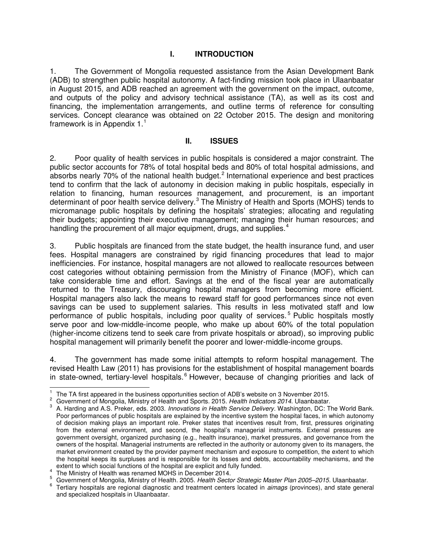## **I. INTRODUCTION**

1. The Government of Mongolia requested assistance from the Asian Development Bank (ADB) to strengthen public hospital autonomy. A fact-finding mission took place in Ulaanbaatar in August 2015, and ADB reached an agreement with the government on the impact, outcome, and outputs of the policy and advisory technical assistance (TA), as well as its cost and financing, the implementation arrangements, and outline terms of reference for consulting services. Concept clearance was obtained on 22 October 2015. The design and monitoring framework is in Appendix  $1<sup>1</sup>$  $1<sup>1</sup>$ 

#### **II. ISSUES**

2. Poor quality of health services in public hospitals is considered a major constraint. The public sector accounts for 78% of total hospital beds and 80% of total hospital admissions, and absorbs nearly 70% of the national health budget.<sup>[2](#page-4-1)</sup> International experience and best practices tend to confirm that the lack of autonomy in decision making in public hospitals, especially in relation to financing, human resources management, and procurement, is an important determinant of poor health service delivery.<sup>[3](#page-4-2)</sup> The Ministry of Health and Sports (MOHS) tends to micromanage public hospitals by defining the hospitals' strategies; allocating and regulating their budgets; appointing their executive management; managing their human resources; and handling the procurement of all major equipment, drugs, and supplies.<sup>[4](#page-4-3)</sup>

3. Public hospitals are financed from the state budget, the health insurance fund, and user fees. Hospital managers are constrained by rigid financing procedures that lead to major inefficiencies. For instance, hospital managers are not allowed to reallocate resources between cost categories without obtaining permission from the Ministry of Finance (MOF), which can take considerable time and effort. Savings at the end of the fiscal year are automatically returned to the Treasury, discouraging hospital managers from becoming more efficient. Hospital managers also lack the means to reward staff for good performances since not even savings can be used to supplement salaries. This results in less motivated staff and low performance of public hospitals, including poor quality of services.<sup>[5](#page-4-4)</sup> Public hospitals mostly serve poor and low-middle-income people, who make up about 60% of the total population (higher-income citizens tend to seek care from private hospitals or abroad), so improving public hospital management will primarily benefit the poorer and lower-middle-income groups.

4. The government has made some initial attempts to reform hospital management. The revised Health Law (2011) has provisions for the establishment of hospital management boards in state-owned, tertiary-level hospitals.<sup>[6](#page-4-5)</sup> However, because of changing priorities and lack of

<span id="page-4-0"></span> $\overline{a}$ 1 The TA first appeared in the business opportunities section of ADB's website on 3 November 2015.

<span id="page-4-1"></span><sup>2</sup> Government of Mongolia, Ministry of Health and Sports. 2015. *Health Indicators 2014*. Ulaanbaatar.

<span id="page-4-2"></span><sup>3</sup> A. Harding and A.S. Preker, eds. 2003. *Innovations in Health Service Delivery.* Washington, DC: The World Bank. Poor performances of public hospitals are explained by the incentive system the hospital faces, in which autonomy of decision making plays an important role. Preker states that incentives result from, first, pressures originating from the external environment, and second, the hospital's managerial instruments. External pressures are government oversight, organized purchasing (e.g., health insurance), market pressures, and governance from the owners of the hospital. Managerial instruments are reflected in the authority or autonomy given to its managers, the market environment created by the provider payment mechanism and exposure to competition, the extent to which the hospital keeps its surpluses and is responsible for its losses and debts, accountability mechanisms, and the extent to which social functions of the hospital are explicit and fully funded.

<span id="page-4-3"></span><sup>4</sup> The Ministry of Health was renamed MOHS in December 2014.

<sup>5</sup> Government of Mongolia, Ministry of Health. 2005. *Health Sector Strategic Master Plan 2005–2015.* Ulaanbaatar.

<span id="page-4-5"></span><span id="page-4-4"></span><sup>6</sup> Tertiary hospitals are regional diagnostic and treatment centers located in *aimags* (provinces), and state general and specialized hospitals in Ulaanbaatar.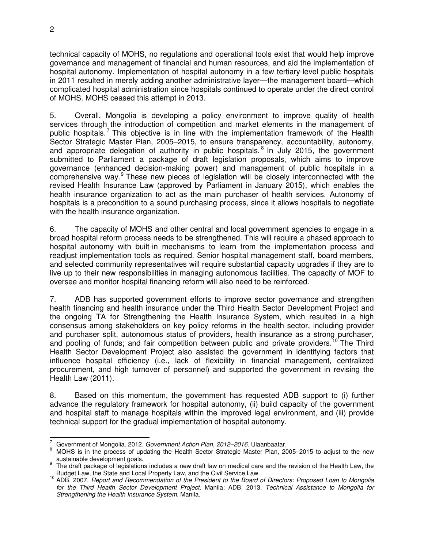technical capacity of MOHS, no regulations and operational tools exist that would help improve governance and management of financial and human resources, and aid the implementation of hospital autonomy. Implementation of hospital autonomy in a few tertiary-level public hospitals in 2011 resulted in merely adding another administrative layer—the management board—which complicated hospital administration since hospitals continued to operate under the direct control of MOHS. MOHS ceased this attempt in 2013.

5. Overall, Mongolia is developing a policy environment to improve quality of health services through the introduction of competition and market elements in the management of public hospitals.<sup>[7](#page-5-0)</sup> This objective is in line with the implementation framework of the Health Sector Strategic Master Plan, 2005–2015, to ensure transparency, accountability, autonomy, and appropriate delegation of authority in public hospitals.<sup>[8](#page-5-1)</sup> In July 2015, the government submitted to Parliament a package of draft legislation proposals, which aims to improve governance (enhanced decision-making power) and management of public hospitals in a comprehensive way.<sup>[9](#page-5-2)</sup> These new pieces of legislation will be closely interconnected with the revised Health Insurance Law (approved by Parliament in January 2015), which enables the health insurance organization to act as the main purchaser of health services. Autonomy of hospitals is a precondition to a sound purchasing process, since it allows hospitals to negotiate with the health insurance organization.

6. The capacity of MOHS and other central and local government agencies to engage in a broad hospital reform process needs to be strengthened. This will require a phased approach to hospital autonomy with built-in mechanisms to learn from the implementation process and readjust implementation tools as required. Senior hospital management staff, board members, and selected community representatives will require substantial capacity upgrades if they are to live up to their new responsibilities in managing autonomous facilities. The capacity of MOF to oversee and monitor hospital financing reform will also need to be reinforced.

7. ADB has supported government efforts to improve sector governance and strengthen health financing and health insurance under the Third Health Sector Development Project and the ongoing TA for Strengthening the Health Insurance System, which resulted in a high consensus among stakeholders on key policy reforms in the health sector, including provider and purchaser split, autonomous status of providers, health insurance as a strong purchaser, and pooling of funds; and fair competition between public and private providers.<sup>[10](#page-5-3)</sup> The Third Health Sector Development Project also assisted the government in identifying factors that influence hospital efficiency (i.e., lack of flexibility in financial management, centralized procurement, and high turnover of personnel) and supported the government in revising the Health Law (2011).

8. Based on this momentum, the government has requested ADB support to (i) further advance the regulatory framework for hospital autonomy, (ii) build capacity of the government and hospital staff to manage hospitals within the improved legal environment, and (iii) provide technical support for the gradual implementation of hospital autonomy.

 $\frac{1}{7}$ Government of Mongolia. 2012. *Government Action Plan, 2012–2016*. Ulaanbaatar.

<span id="page-5-1"></span><span id="page-5-0"></span><sup>8</sup> MOHS is in the process of updating the Health Sector Strategic Master Plan, 2005–2015 to adjust to the new sustainable development goals.

<span id="page-5-2"></span><sup>9</sup> The draft package of legislations includes a new draft law on medical care and the revision of the Health Law, the Budget Law, the State and Local Property Law, and the Civil Service Law.

<span id="page-5-3"></span><sup>10</sup> ADB. 2007. *Report and Recommendation of the President to the Board of Directors: Proposed Loan to Mongolia for the Third Health Sector Development Project*. Manila; ADB. 2013. *Technical Assistance to Mongolia for Strengthening the Health Insurance System.* Manila.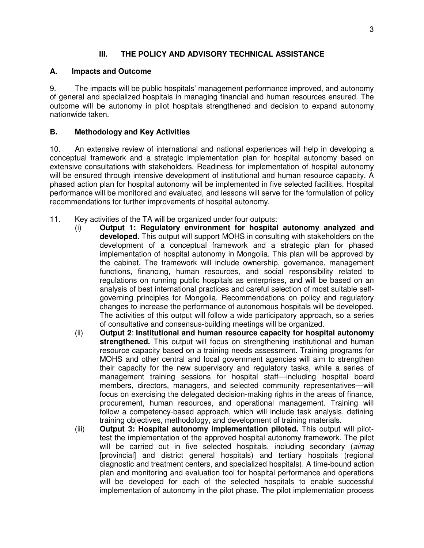## **III. THE POLICY AND ADVISORY TECHNICAL ASSISTANCE**

## **A. Impacts and Outcome**

9. The impacts will be public hospitals' management performance improved, and autonomy of general and specialized hospitals in managing financial and human resources ensured. The outcome will be autonomy in pilot hospitals strengthened and decision to expand autonomy nationwide taken.

## **B. Methodology and Key Activities**

10. An extensive review of international and national experiences will help in developing a conceptual framework and a strategic implementation plan for hospital autonomy based on extensive consultations with stakeholders. Readiness for implementation of hospital autonomy will be ensured through intensive development of institutional and human resource capacity. A phased action plan for hospital autonomy will be implemented in five selected facilities. Hospital performance will be monitored and evaluated, and lessons will serve for the formulation of policy recommendations for further improvements of hospital autonomy.

- 11. Key activities of the TA will be organized under four outputs:
	- (i) **Output 1: Regulatory environment for hospital autonomy analyzed and developed.** This output will support MOHS in consulting with stakeholders on the development of a conceptual framework and a strategic plan for phased implementation of hospital autonomy in Mongolia. This plan will be approved by the cabinet. The framework will include ownership, governance, management functions, financing, human resources, and social responsibility related to regulations on running public hospitals as enterprises, and will be based on an analysis of best international practices and careful selection of most suitable selfgoverning principles for Mongolia. Recommendations on policy and regulatory changes to increase the performance of autonomous hospitals will be developed. The activities of this output will follow a wide participatory approach, so a series of consultative and consensus-building meetings will be organized.
	- (ii) **Output 2**: **Institutional and human resource capacity for hospital autonomy strengthened.** This output will focus on strengthening institutional and human resource capacity based on a training needs assessment. Training programs for MOHS and other central and local government agencies will aim to strengthen their capacity for the new supervisory and regulatory tasks, while a series of management training sessions for hospital staff—including hospital board members, directors, managers, and selected community representatives—will focus on exercising the delegated decision-making rights in the areas of finance, procurement, human resources, and operational management. Training will follow a competency-based approach, which will include task analysis, defining training objectives, methodology, and development of training materials.
	- (iii) **Output 3: Hospital autonomy implementation piloted.** This output will pilottest the implementation of the approved hospital autonomy framework. The pilot will be carried out in five selected hospitals, including secondary (*aimag* [provincial] and district general hospitals) and tertiary hospitals (regional diagnostic and treatment centers, and specialized hospitals). A time-bound action plan and monitoring and evaluation tool for hospital performance and operations will be developed for each of the selected hospitals to enable successful implementation of autonomy in the pilot phase. The pilot implementation process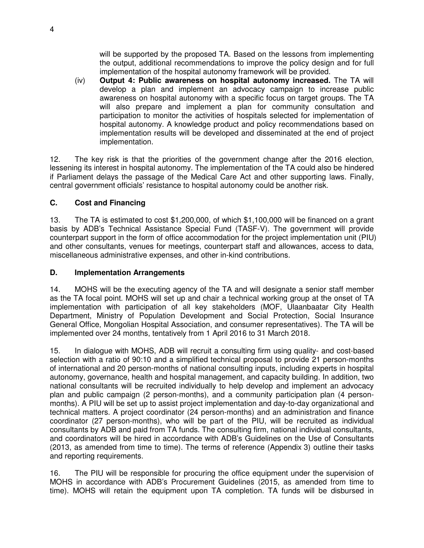will be supported by the proposed TA. Based on the lessons from implementing the output, additional recommendations to improve the policy design and for full implementation of the hospital autonomy framework will be provided.

(iv) **Output 4: Public awareness on hospital autonomy increased.** The TA will develop a plan and implement an advocacy campaign to increase public awareness on hospital autonomy with a specific focus on target groups. The TA will also prepare and implement a plan for community consultation and participation to monitor the activities of hospitals selected for implementation of hospital autonomy. A knowledge product and policy recommendations based on implementation results will be developed and disseminated at the end of project implementation.

12. The key risk is that the priorities of the government change after the 2016 election, lessening its interest in hospital autonomy. The implementation of the TA could also be hindered if Parliament delays the passage of the Medical Care Act and other supporting laws. Finally, central government officials' resistance to hospital autonomy could be another risk.

## **C. Cost and Financing**

13. The TA is estimated to cost \$1,200,000, of which \$1,100,000 will be financed on a grant basis by ADB's Technical Assistance Special Fund (TASF-V). The government will provide counterpart support in the form of office accommodation for the project implementation unit (PIU) and other consultants, venues for meetings, counterpart staff and allowances, access to data, miscellaneous administrative expenses, and other in-kind contributions.

#### **D. Implementation Arrangements**

14. MOHS will be the executing agency of the TA and will designate a senior staff member as the TA focal point. MOHS will set up and chair a technical working group at the onset of TA implementation with participation of all key stakeholders (MOF, Ulaanbaatar City Health Department, Ministry of Population Development and Social Protection, Social Insurance General Office, Mongolian Hospital Association, and consumer representatives). The TA will be implemented over 24 months, tentatively from 1 April 2016 to 31 March 2018.

15. In dialogue with MOHS, ADB will recruit a consulting firm using quality- and cost-based selection with a ratio of 90:10 and a simplified technical proposal to provide 21 person-months of international and 20 person-months of national consulting inputs, including experts in hospital autonomy, governance, health and hospital management, and capacity building. In addition, two national consultants will be recruited individually to help develop and implement an advocacy plan and public campaign (2 person-months), and a community participation plan (4 personmonths). A PIU will be set up to assist project implementation and day-to-day organizational and technical matters. A project coordinator (24 person-months) and an administration and finance coordinator (27 person-months), who will be part of the PIU, will be recruited as individual consultants by ADB and paid from TA funds. The consulting firm, national individual consultants, and coordinators will be hired in accordance with ADB's Guidelines on the Use of Consultants (2013, as amended from time to time). The terms of reference (Appendix 3) outline their tasks and reporting requirements.

16. The PIU will be responsible for procuring the office equipment under the supervision of MOHS in accordance with ADB's Procurement Guidelines (2015, as amended from time to time). MOHS will retain the equipment upon TA completion. TA funds will be disbursed in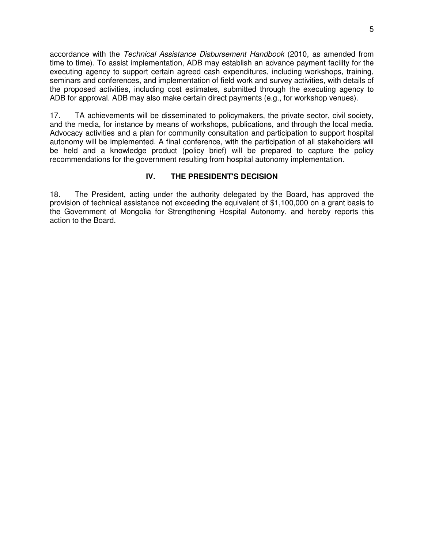accordance with the *Technical Assistance Disbursement Handbook* (2010, as amended from time to time). To assist implementation, ADB may establish an advance payment facility for the executing agency to support certain agreed cash expenditures, including workshops, training, seminars and conferences, and implementation of field work and survey activities, with details of the proposed activities, including cost estimates, submitted through the executing agency to ADB for approval. ADB may also make certain direct payments (e.g., for workshop venues).

17. TA achievements will be disseminated to policymakers, the private sector, civil society, and the media, for instance by means of workshops, publications, and through the local media. Advocacy activities and a plan for community consultation and participation to support hospital autonomy will be implemented. A final conference, with the participation of all stakeholders will be held and a knowledge product (policy brief) will be prepared to capture the policy recommendations for the government resulting from hospital autonomy implementation.

## **IV. THE PRESIDENT'S DECISION**

18. The President, acting under the authority delegated by the Board, has approved the provision of technical assistance not exceeding the equivalent of \$1,100,000 on a grant basis to the Government of Mongolia for Strengthening Hospital Autonomy, and hereby reports this action to the Board.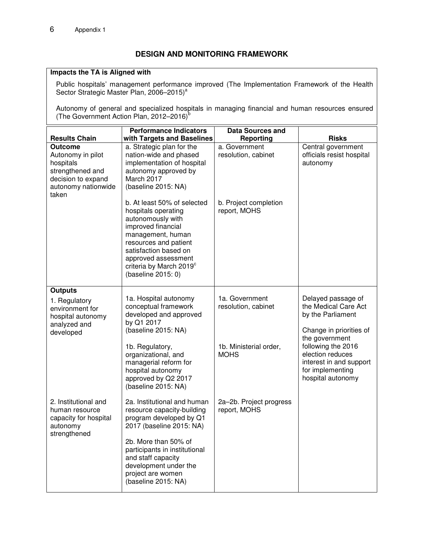## **DESIGN AND MONITORING FRAMEWORK**

#### **Impacts the TA is Aligned with**

Public hospitals' management performance improved (The Implementation Framework of the Health Sector Strategic Master Plan, 2006-2015)<sup>a</sup>

Autonomy of general and specialized hospitals in managing financial and human resources ensured (The Government Action Plan, 2012-2016)<sup>b</sup>

| <b>Results Chain</b>                                                                                                       | <b>Performance Indicators</b><br>with Targets and Baselines                                                                                                                                                                                              | <b>Data Sources and</b><br><b>Reporting</b> | <b>Risks</b>                                                                                                                 |
|----------------------------------------------------------------------------------------------------------------------------|----------------------------------------------------------------------------------------------------------------------------------------------------------------------------------------------------------------------------------------------------------|---------------------------------------------|------------------------------------------------------------------------------------------------------------------------------|
| <b>Outcome</b><br>Autonomy in pilot<br>hospitals<br>strengthened and<br>decision to expand<br>autonomy nationwide<br>taken | a. Strategic plan for the<br>nation-wide and phased<br>implementation of hospital<br>autonomy approved by<br>March 2017<br>(baseline 2015: NA)                                                                                                           | a. Government<br>resolution, cabinet        | Central government<br>officials resist hospital<br>autonomy                                                                  |
|                                                                                                                            | b. At least 50% of selected<br>hospitals operating<br>autonomously with<br>improved financial<br>management, human<br>resources and patient<br>satisfaction based on<br>approved assessment<br>criteria by March 2019 <sup>c</sup><br>(baseline 2015: 0) | b. Project completion<br>report, MOHS       |                                                                                                                              |
| <b>Outputs</b><br>1. Regulatory<br>environment for                                                                         | 1a. Hospital autonomy<br>conceptual framework                                                                                                                                                                                                            | 1a. Government<br>resolution, cabinet       | Delayed passage of<br>the Medical Care Act                                                                                   |
| hospital autonomy<br>analyzed and                                                                                          | developed and approved<br>by Q1 2017<br>(baseline 2015: NA)                                                                                                                                                                                              |                                             | by the Parliament<br>Change in priorities of                                                                                 |
| developed                                                                                                                  | 1b. Regulatory,<br>organizational, and<br>managerial reform for<br>hospital autonomy<br>approved by Q2 2017<br>(baseline 2015: NA)                                                                                                                       | 1b. Ministerial order,<br><b>MOHS</b>       | the government<br>following the 2016<br>election reduces<br>interest in and support<br>for implementing<br>hospital autonomy |
| 2. Institutional and<br>human resource<br>capacity for hospital<br>autonomy                                                | 2a. Institutional and human<br>resource capacity-building<br>program developed by Q1<br>2017 (baseline 2015: NA)                                                                                                                                         | 2a-2b. Project progress<br>report, MOHS     |                                                                                                                              |
| strengthened                                                                                                               | 2b. More than 50% of<br>participants in institutional<br>and staff capacity<br>development under the<br>project are women<br>(baseline 2015: NA)                                                                                                         |                                             |                                                                                                                              |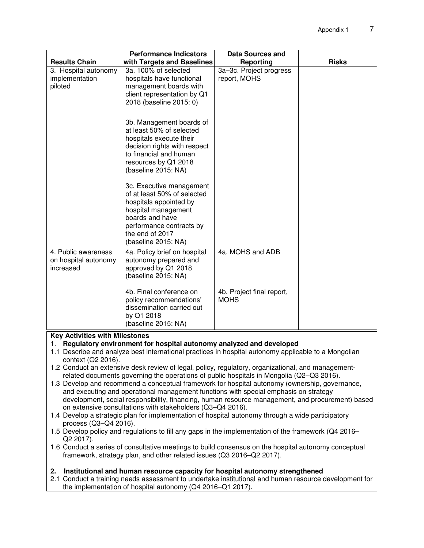| <b>Results Chain</b>                                     | <b>Performance Indicators</b><br>with Targets and Baselines                                                                                                                                       | <b>Data Sources and</b><br>Reporting     | <b>Risks</b> |  |
|----------------------------------------------------------|---------------------------------------------------------------------------------------------------------------------------------------------------------------------------------------------------|------------------------------------------|--------------|--|
| 3. Hospital autonomy                                     | 3a. 100% of selected                                                                                                                                                                              | 3a-3c. Project progress                  |              |  |
| implementation                                           | hospitals have functional                                                                                                                                                                         | report, MOHS                             |              |  |
| piloted                                                  | management boards with                                                                                                                                                                            |                                          |              |  |
|                                                          | client representation by Q1                                                                                                                                                                       |                                          |              |  |
|                                                          | 2018 (baseline 2015: 0)                                                                                                                                                                           |                                          |              |  |
|                                                          | 3b. Management boards of<br>at least 50% of selected<br>hospitals execute their<br>decision rights with respect<br>to financial and human<br>resources by Q1 2018<br>(baseline 2015: NA)          |                                          |              |  |
|                                                          | 3c. Executive management<br>of at least 50% of selected<br>hospitals appointed by<br>hospital management<br>boards and have<br>performance contracts by<br>the end of 2017<br>(baseline 2015: NA) |                                          |              |  |
| 4. Public awareness<br>on hospital autonomy<br>increased | 4a. Policy brief on hospital<br>autonomy prepared and<br>approved by Q1 2018<br>(baseline 2015: NA)                                                                                               | 4a. MOHS and ADB                         |              |  |
|                                                          | 4b. Final conference on<br>policy recommendations'<br>dissemination carried out<br>by Q1 2018<br>(baseline 2015: NA)                                                                              | 4b. Project final report,<br><b>MOHS</b> |              |  |
| <b>Key Activities with Milestones</b>                    |                                                                                                                                                                                                   |                                          |              |  |

- 1. **Regulatory environment for hospital autonomy analyzed and developed**
- 1.1 Describe and analyze best international practices in hospital autonomy applicable to a Mongolian context (Q2 2016).
- 1.2 Conduct an extensive desk review of legal, policy, regulatory, organizational, and managementrelated documents governing the operations of public hospitals in Mongolia (Q2–Q3 2016).
- 1.3 Develop and recommend a conceptual framework for hospital autonomy (ownership, governance, and executing and operational management functions with special emphasis on strategy development, social responsibility, financing, human resource management, and procurement) based on extensive consultations with stakeholders (Q3–Q4 2016).
- 1.4 Develop a strategic plan for implementation of hospital autonomy through a wide participatory process (Q3–Q4 2016).
- 1.5 Develop policy and regulations to fill any gaps in the implementation of the framework (Q4 2016– Q2 2017).
- 1.6 Conduct a series of consultative meetings to build consensus on the hospital autonomy conceptual framework, strategy plan, and other related issues (Q3 2016–Q2 2017).

#### **2. Institutional and human resource capacity for hospital autonomy strengthened**

2.1 Conduct a training needs assessment to undertake institutional and human resource development for the implementation of hospital autonomy (Q4 2016–Q1 2017).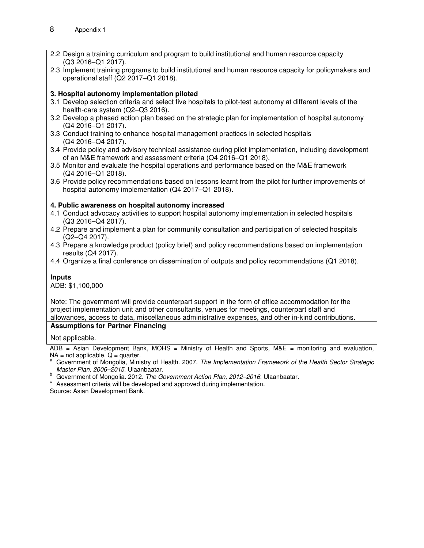- 2.2 Design a training curriculum and program to build institutional and human resource capacity (Q3 2016–Q1 2017).
- 2.3 Implement training programs to build institutional and human resource capacity for policymakers and operational staff (Q2 2017–Q1 2018).

#### **3. Hospital autonomy implementation piloted**

- 3.1 Develop selection criteria and select five hospitals to pilot-test autonomy at different levels of the health-care system (Q2–Q3 2016).
- 3.2 Develop a phased action plan based on the strategic plan for implementation of hospital autonomy (Q4 2016–Q1 2017).
- 3.3 Conduct training to enhance hospital management practices in selected hospitals (Q4 2016–Q4 2017).
- 3.4 Provide policy and advisory technical assistance during pilot implementation, including development of an M&E framework and assessment criteria (Q4 2016–Q1 2018).
- 3.5 Monitor and evaluate the hospital operations and performance based on the M&E framework (Q4 2016–Q1 2018).
- 3.6 Provide policy recommendations based on lessons learnt from the pilot for further improvements of hospital autonomy implementation (Q4 2017–Q1 2018).

#### **4. Public awareness on hospital autonomy increased**

- 4.1 Conduct advocacy activities to support hospital autonomy implementation in selected hospitals (Q3 2016–Q4 2017).
- 4.2 Prepare and implement a plan for community consultation and participation of selected hospitals (Q2–Q4 2017).
- 4.3 Prepare a knowledge product (policy brief) and policy recommendations based on implementation results (Q4 2017).
- 4.4 Organize a final conference on dissemination of outputs and policy recommendations (Q1 2018).

#### **Inputs**

ADB: \$1,100,000

Note: The government will provide counterpart support in the form of office accommodation for the project implementation unit and other consultants, venues for meetings, counterpart staff and allowances, access to data, miscellaneous administrative expenses, and other in-kind contributions.

#### **Assumptions for Partner Financing**

Not applicable.

ADB = Asian Development Bank, MOHS = Ministry of Health and Sports, M&E = monitoring and evaluation,  $NA = not applicable, Q = quarter.$ 

- Government of Mongolia, Ministry of Health. 2007. The Implementation Framework of the Health Sector Strategic *Master Plan, 2006–2015*. Ulaanbaatar.
- b<br>Covernment of Mongolia. 2012. *The Government Action Plan, 2012–2016*. Ulaanbaatar.

 $\degree$  Assessment criteria will be developed and approved during implementation.

Source: Asian Development Bank.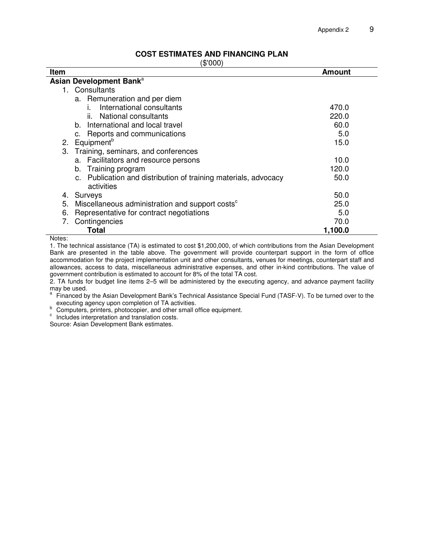#### **COST ESTIMATES AND FINANCING PLAN**

(\$'000)

| ιν νυν γ                                                          |               |  |  |  |
|-------------------------------------------------------------------|---------------|--|--|--|
| Item                                                              | <b>Amount</b> |  |  |  |
| Asian Development Bank <sup>a</sup>                               |               |  |  |  |
| 1. Consultants                                                    |               |  |  |  |
| a. Remuneration and per diem                                      |               |  |  |  |
| International consultants                                         | 470.0         |  |  |  |
| National consultants<br>ÎĹ.                                       | 220.0         |  |  |  |
| b. International and local travel                                 | 60.0          |  |  |  |
| c. Reports and communications                                     | 5.0           |  |  |  |
| Equipment <sup>b</sup><br>2.                                      | 15.0          |  |  |  |
| Training, seminars, and conferences<br>3.                         |               |  |  |  |
| a. Facilitators and resource persons                              | 10.0          |  |  |  |
| Training program<br>b.                                            | 120.0         |  |  |  |
| c. Publication and distribution of training materials, advocacy   | 50.0          |  |  |  |
| activities                                                        |               |  |  |  |
| Surveys<br>4.                                                     | 50.0          |  |  |  |
| 5.<br>Miscellaneous administration and support costs <sup>c</sup> | 25.0          |  |  |  |
| 6.<br>Representative for contract negotiations                    | 5.0           |  |  |  |
| Contingencies<br>7.                                               | 70.0          |  |  |  |
| Total                                                             | 1,100.0       |  |  |  |
| Notoc:                                                            |               |  |  |  |

Notes:

1. The technical assistance (TA) is estimated to cost \$1,200,000, of which contributions from the Asian Development Bank are presented in the table above. The government will provide counterpart support in the form of office accommodation for the project implementation unit and other consultants, venues for meetings, counterpart staff and allowances, access to data, miscellaneous administrative expenses, and other in-kind contributions. The value of government contribution is estimated to account for 8% of the total TA cost.

2. TA funds for budget line items 2–5 will be administered by the executing agency, and advance payment facility may be used.

<sup>a</sup> Financed by the Asian Development Bank's Technical Assistance Special Fund (TASF-V). To be turned over to the executing agency upon completion of TA activities.

b executing agency upon complements. The small office equipment.

<sup>c</sup> Includes interpretation and translation costs.

Source: Asian Development Bank estimates.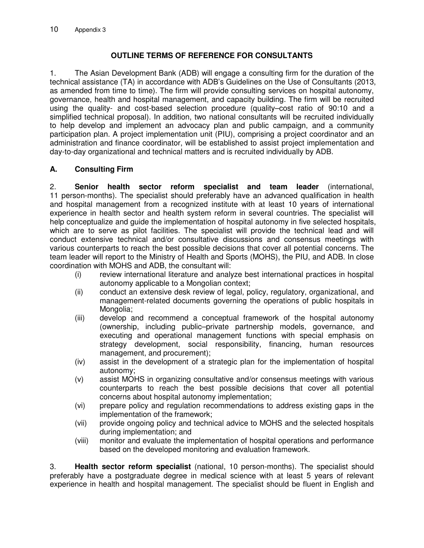## **OUTLINE TERMS OF REFERENCE FOR CONSULTANTS**

1. The Asian Development Bank (ADB) will engage a consulting firm for the duration of the technical assistance (TA) in accordance with ADB's Guidelines on the Use of Consultants (2013, as amended from time to time). The firm will provide consulting services on hospital autonomy, governance, health and hospital management, and capacity building. The firm will be recruited using the quality- and cost-based selection procedure (quality–cost ratio of 90:10 and a simplified technical proposal). In addition, two national consultants will be recruited individually to help develop and implement an advocacy plan and public campaign, and a community participation plan. A project implementation unit (PIU), comprising a project coordinator and an administration and finance coordinator, will be established to assist project implementation and day-to-day organizational and technical matters and is recruited individually by ADB.

## **A. Consulting Firm**

2. **Senior health sector reform specialist and team leader** (international, 11 person-months). The specialist should preferably have an advanced qualification in health and hospital management from a recognized institute with at least 10 years of international experience in health sector and health system reform in several countries. The specialist will help conceptualize and guide the implementation of hospital autonomy in five selected hospitals, which are to serve as pilot facilities. The specialist will provide the technical lead and will conduct extensive technical and/or consultative discussions and consensus meetings with various counterparts to reach the best possible decisions that cover all potential concerns. The team leader will report to the Ministry of Health and Sports (MOHS), the PIU, and ADB. In close coordination with MOHS and ADB, the consultant will:

- (i) review international literature and analyze best international practices in hospital autonomy applicable to a Mongolian context;
- (ii) conduct an extensive desk review of legal, policy, regulatory, organizational, and management-related documents governing the operations of public hospitals in Mongolia;
- (iii) develop and recommend a conceptual framework of the hospital autonomy (ownership, including public–private partnership models, governance, and executing and operational management functions with special emphasis on strategy development, social responsibility, financing, human resources management, and procurement);
- (iv) assist in the development of a strategic plan for the implementation of hospital autonomy;
- (v) assist MOHS in organizing consultative and/or consensus meetings with various counterparts to reach the best possible decisions that cover all potential concerns about hospital autonomy implementation;
- (vi) prepare policy and regulation recommendations to address existing gaps in the implementation of the framework;
- (vii) provide ongoing policy and technical advice to MOHS and the selected hospitals during implementation; and
- (viii) monitor and evaluate the implementation of hospital operations and performance based on the developed monitoring and evaluation framework.

3. **Health sector reform specialist** (national, 10 person-months). The specialist should preferably have a postgraduate degree in medical science with at least 5 years of relevant experience in health and hospital management. The specialist should be fluent in English and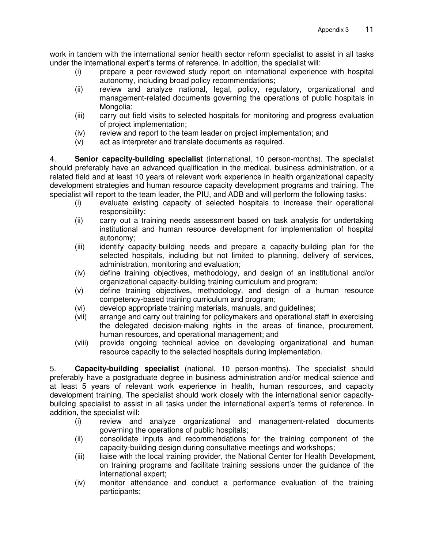work in tandem with the international senior health sector reform specialist to assist in all tasks under the international expert's terms of reference. In addition, the specialist will:

- (i) prepare a peer-reviewed study report on international experience with hospital autonomy, including broad policy recommendations;
- (ii) review and analyze national, legal, policy, regulatory, organizational and management-related documents governing the operations of public hospitals in Mongolia;
- (iii) carry out field visits to selected hospitals for monitoring and progress evaluation of project implementation;
- (iv) review and report to the team leader on project implementation; and
- (v) act as interpreter and translate documents as required.

4. **Senior capacity-building specialist** (international, 10 person-months). The specialist should preferably have an advanced qualification in the medical, business administration, or a related field and at least 10 years of relevant work experience in health organizational capacity development strategies and human resource capacity development programs and training. The specialist will report to the team leader, the PIU, and ADB and will perform the following tasks:

- (i) evaluate existing capacity of selected hospitals to increase their operational responsibility;
- (ii) carry out a training needs assessment based on task analysis for undertaking institutional and human resource development for implementation of hospital autonomy;
- (iii) identify capacity-building needs and prepare a capacity-building plan for the selected hospitals, including but not limited to planning, delivery of services, administration, monitoring and evaluation;
- (iv) define training objectives, methodology, and design of an institutional and/or organizational capacity-building training curriculum and program;
- (v) define training objectives, methodology, and design of a human resource competency-based training curriculum and program;
- (vi) develop appropriate training materials, manuals, and guidelines;
- (vii) arrange and carry out training for policymakers and operational staff in exercising the delegated decision-making rights in the areas of finance, procurement, human resources, and operational management; and
- (viii) provide ongoing technical advice on developing organizational and human resource capacity to the selected hospitals during implementation.

5. **Capacity-building specialist** (national, 10 person-months). The specialist should preferably have a postgraduate degree in business administration and/or medical science and at least 5 years of relevant work experience in health, human resources, and capacity development training. The specialist should work closely with the international senior capacitybuilding specialist to assist in all tasks under the international expert's terms of reference. In addition, the specialist will:

- (i) review and analyze organizational and management-related documents governing the operations of public hospitals;
- (ii) consolidate inputs and recommendations for the training component of the capacity-building design during consultative meetings and workshops;
- (iii) liaise with the local training provider, the National Center for Health Development, on training programs and facilitate training sessions under the guidance of the international expert;
- (iv) monitor attendance and conduct a performance evaluation of the training participants;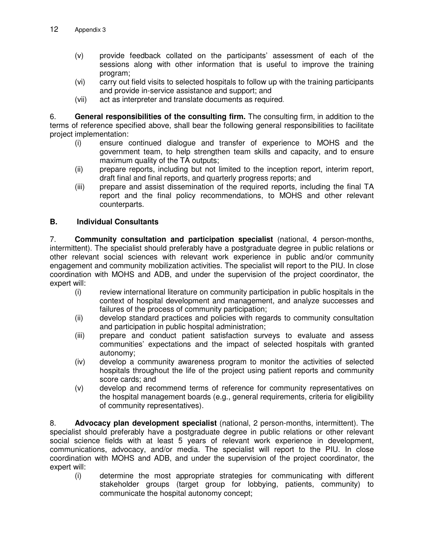- (v) provide feedback collated on the participants' assessment of each of the sessions along with other information that is useful to improve the training program;
- (vi) carry out field visits to selected hospitals to follow up with the training participants and provide in-service assistance and support; and
- (vii) act as interpreter and translate documents as required.

6. **General responsibilities of the consulting firm.** The consulting firm, in addition to the terms of reference specified above, shall bear the following general responsibilities to facilitate project implementation:

- (i) ensure continued dialogue and transfer of experience to MOHS and the government team, to help strengthen team skills and capacity, and to ensure maximum quality of the TA outputs;
- (ii) prepare reports, including but not limited to the inception report, interim report, draft final and final reports, and quarterly progress reports; and
- (iii) prepare and assist dissemination of the required reports, including the final TA report and the final policy recommendations, to MOHS and other relevant counterparts.

## **B. Individual Consultants**

7. **Community consultation and participation specialist** (national, 4 person-months, intermittent). The specialist should preferably have a postgraduate degree in public relations or other relevant social sciences with relevant work experience in public and/or community engagement and community mobilization activities. The specialist will report to the PIU. In close coordination with MOHS and ADB, and under the supervision of the project coordinator, the expert will:

- (i) review international literature on community participation in public hospitals in the context of hospital development and management, and analyze successes and failures of the process of community participation;
- (ii) develop standard practices and policies with regards to community consultation and participation in public hospital administration;
- (iii) prepare and conduct patient satisfaction surveys to evaluate and assess communities' expectations and the impact of selected hospitals with granted autonomy;
- (iv) develop a community awareness program to monitor the activities of selected hospitals throughout the life of the project using patient reports and community score cards; and
- (v) develop and recommend terms of reference for community representatives on the hospital management boards (e.g., general requirements, criteria for eligibility of community representatives).

8. **Advocacy plan development specialist** (national, 2 person-months, intermittent). The specialist should preferably have a postgraduate degree in public relations or other relevant social science fields with at least 5 years of relevant work experience in development, communications, advocacy, and/or media. The specialist will report to the PIU. In close coordination with MOHS and ADB, and under the supervision of the project coordinator, the expert will:

(i) determine the most appropriate strategies for communicating with different stakeholder groups (target group for lobbying, patients, community) to communicate the hospital autonomy concept;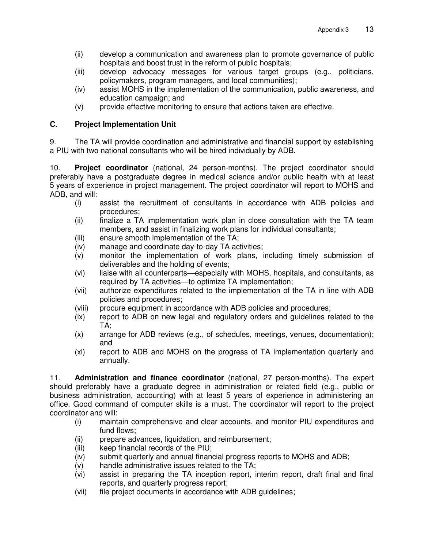- (ii) develop a communication and awareness plan to promote governance of public hospitals and boost trust in the reform of public hospitals;
- (iii) develop advocacy messages for various target groups (e.g., politicians, policymakers, program managers, and local communities);
- (iv) assist MOHS in the implementation of the communication, public awareness, and education campaign; and
- (v) provide effective monitoring to ensure that actions taken are effective.

## **C. Project Implementation Unit**

9. The TA will provide coordination and administrative and financial support by establishing a PIU with two national consultants who will be hired individually by ADB.

10. **Project coordinator** (national, 24 person-months). The project coordinator should preferably have a postgraduate degree in medical science and/or public health with at least 5 years of experience in project management. The project coordinator will report to MOHS and ADB, and will:

- (i) assist the recruitment of consultants in accordance with ADB policies and procedures;
- (ii) finalize a TA implementation work plan in close consultation with the TA team members, and assist in finalizing work plans for individual consultants;
- (iii) ensure smooth implementation of the TA;
- (iv) manage and coordinate day-to-day TA activities;
- (v) monitor the implementation of work plans, including timely submission of deliverables and the holding of events;
- (vi) liaise with all counterparts—especially with MOHS, hospitals, and consultants, as required by TA activities—to optimize TA implementation;
- (vii) authorize expenditures related to the implementation of the TA in line with ADB policies and procedures;
- (viii) procure equipment in accordance with ADB policies and procedures;
- (ix) report to ADB on new legal and regulatory orders and guidelines related to the TA;
- (x) arrange for ADB reviews (e.g., of schedules, meetings, venues, documentation); and
- (xi) report to ADB and MOHS on the progress of TA implementation quarterly and annually.

11. **Administration and finance coordinator** (national, 27 person-months). The expert should preferably have a graduate degree in administration or related field (e.g., public or business administration, accounting) with at least 5 years of experience in administering an office. Good command of computer skills is a must. The coordinator will report to the project coordinator and will:

- (i) maintain comprehensive and clear accounts, and monitor PIU expenditures and fund flows;
- (ii) prepare advances, liquidation, and reimbursement;
- (iii) keep financial records of the PIU;
- (iv) submit quarterly and annual financial progress reports to MOHS and ADB;
- (v) handle administrative issues related to the TA;
- (vi) assist in preparing the TA inception report, interim report, draft final and final reports, and quarterly progress report;
- (vii) file project documents in accordance with ADB guidelines;